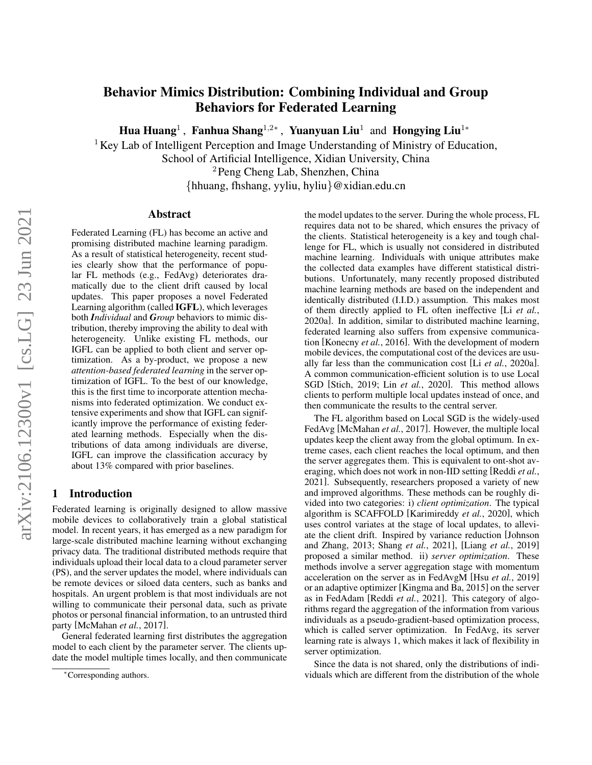# Behavior Mimics Distribution: Combining Individual and Group Behaviors for Federated Learning

Hua Huang<sup>1</sup>, Fanhua Shang<sup>1,2∗</sup>, Yuanyuan Liu<sup>1</sup> and Hongying Liu<sup>1</sup>\*

<sup>1</sup> Key Lab of Intelligent Perception and Image Understanding of Ministry of Education,

School of Artificial Intelligence, Xidian University, China

<sup>2</sup>Peng Cheng Lab, Shenzhen, China

{hhuang, fhshang, yyliu, hyliu}@xidian.edu.cn

### Abstract

Federated Learning (FL) has become an active and promising distributed machine learning paradigm. As a result of statistical heterogeneity, recent studies clearly show that the performance of popular FL methods (e.g., FedAvg) deteriorates dramatically due to the client drift caused by local updates. This paper proposes a novel Federated Learning algorithm (called IGFL), which leverages both *Individual* and *Group* behaviors to mimic distribution, thereby improving the ability to deal with heterogeneity. Unlike existing FL methods, our IGFL can be applied to both client and server optimization. As a by-product, we propose a new *attention-based federated learning* in the server optimization of IGFL. To the best of our knowledge, this is the first time to incorporate attention mechanisms into federated optimization. We conduct extensive experiments and show that IGFL can significantly improve the performance of existing federated learning methods. Especially when the distributions of data among individuals are diverse, IGFL can improve the classification accuracy by about 13% compared with prior baselines.

# 1 Introduction

Federated learning is originally designed to allow massive mobile devices to collaboratively train a global statistical model. In recent years, it has emerged as a new paradigm for large-scale distributed machine learning without exchanging privacy data. The traditional distributed methods require that individuals upload their local data to a cloud parameter server (PS), and the server updates the model, where individuals can be remote devices or siloed data centers, such as banks and hospitals. An urgent problem is that most individuals are not willing to communicate their personal data, such as private photos or personal financial information, to an untrusted third party [\[McMahan](#page-6-0) *et al.*, 2017].

General federated learning first distributes the aggregation model to each client by the parameter server. The clients update the model multiple times locally, and then communicate the model updates to the server. During the whole process, FL requires data not to be shared, which ensures the privacy of the clients. Statistical heterogeneity is a key and tough challenge for FL, which is usually not considered in distributed machine learning. Individuals with unique attributes make the collected data examples have different statistical distributions. Unfortunately, many recently proposed distributed machine learning methods are based on the independent and identically distributed (I.I.D.) assumption. This makes most of them directly applied to FL often ineffective [Li *[et al.](#page-6-1)*, [2020a\]](#page-6-1). In addition, similar to distributed machine learning, federated learning also suffers from expensive communication [\[Konecny](#page-6-2) *et al.*, 2016]. With the development of modern mobile devices, the computational cost of the devices are usually far less than the communication cost [Li *et al.*[, 2020a\]](#page-6-1). A common communication-efficient solution is to use Local SGD [\[Stich, 2019;](#page-6-3) Lin *et al.*[, 2020\]](#page-6-4). This method allows clients to perform multiple local updates instead of once, and then communicate the results to the central server.

The FL algorithm based on Local SGD is the widely-used FedAvg [\[McMahan](#page-6-0) *et al.*, 2017]. However, the multiple local updates keep the client away from the global optimum. In extreme cases, each client reaches the local optimum, and then the server aggregates them. This is equivalent to ont-shot averaging, which does not work in non-IID setting [\[Reddi](#page-6-5) *et al.*, [2021\]](#page-6-5). Subsequently, researchers proposed a variety of new and improved algorithms. These methods can be roughly divided into two categories: i) *client optimization*. The typical algorithm is SCAFFOLD [\[Karimireddy](#page-6-6) *et al.*, 2020], which uses control variates at the stage of local updates, to alleviate the client drift. Inspired by variance reduction [\[Johnson](#page-6-7) [and Zhang, 2013;](#page-6-7) Shang *et al.*[, 2021\]](#page-6-8), [Liang *et al.*[, 2019\]](#page-6-9) proposed a similar method. ii) *server optimization*. These methods involve a server aggregation stage with momentum acceleration on the server as in FedAvgM [Hsu *et al.*[, 2019\]](#page-6-10) or an adaptive optimizer [\[Kingma and Ba, 2015\]](#page-6-11) on the server as in FedAdam [Reddi *et al.*[, 2021\]](#page-6-5). This category of algorithms regard the aggregation of the information from various individuals as a pseudo-gradient-based optimization process, which is called server optimization. In FedAvg, its server learning rate is always 1, which makes it lack of flexibility in server optimization.

Since the data is not shared, only the distributions of individuals which are different from the distribution of the whole

<sup>∗</sup>Corresponding authors.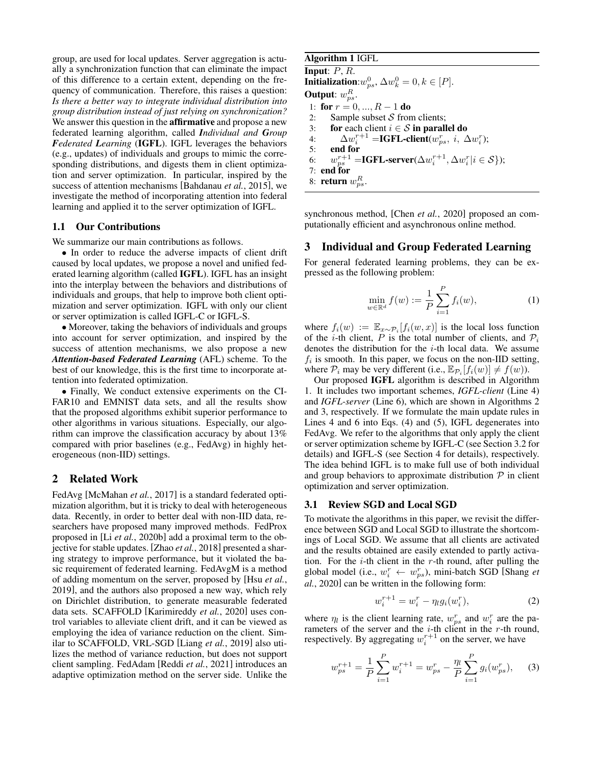group, are used for local updates. Server aggregation is actually a synchronization function that can eliminate the impact of this difference to a certain extent, depending on the frequency of communication. Therefore, this raises a question: *Is there a better way to integrate individual distribution into group distribution instead of just relying on synchronization?* We answer this question in the **affirmative** and propose a new federated learning algorithm, called *Individual and Group Federated Learning* (IGFL). IGFL leverages the behaviors (e.g., updates) of individuals and groups to mimic the corresponding distributions, and digests them in client optimization and server optimization. In particular, inspired by the success of attention mechanisms [\[Bahdanau](#page-6-12) *et al.*, 2015], we investigate the method of incorporating attention into federal learning and applied it to the server optimization of IGFL.

#### 1.1 Our Contributions

We summarize our main contributions as follows.

• In order to reduce the adverse impacts of client drift caused by local updates, we propose a novel and unified federated learning algorithm (called IGFL). IGFL has an insight into the interplay between the behaviors and distributions of individuals and groups, that help to improve both client optimization and server optimization. IGFL with only our client or server optimization is called IGFL-C or IGFL-S.

• Moreover, taking the behaviors of individuals and groups into account for server optimization, and inspired by the success of attention mechanisms, we also propose a new *Attention-based Federated Learning* (AFL) scheme. To the best of our knowledge, this is the first time to incorporate attention into federated optimization.

• Finally, We conduct extensive experiments on the CI-FAR10 and EMNIST data sets, and all the results show that the proposed algorithms exhibit superior performance to other algorithms in various situations. Especially, our algorithm can improve the classification accuracy by about 13% compared with prior baselines (e.g., FedAvg) in highly heterogeneous (non-IID) settings.

# 2 Related Work

FedAvg [\[McMahan](#page-6-0) *et al.*, 2017] is a standard federated optimization algorithm, but it is tricky to deal with heterogeneous data. Recently, in order to better deal with non-IID data, researchers have proposed many improved methods. FedProx proposed in [Li *et al.*[, 2020b\]](#page-6-13) add a proximal term to the objective for stable updates. [Zhao *et al.*[, 2018\]](#page-6-14) presented a sharing strategy to improve performance, but it violated the basic requirement of federated learning. FedAvgM is a method of adding momentum on the server, proposed by [Hsu *[et al.](#page-6-10)*, [2019\]](#page-6-10), and the authors also proposed a new way, which rely on Dirichlet distribution, to generate measurable federated data sets. SCAFFOLD [\[Karimireddy](#page-6-6) *et al.*, 2020] uses control variables to alleviate client drift, and it can be viewed as employing the idea of variance reduction on the client. Similar to SCAFFOLD, VRL-SGD [Liang *et al.*[, 2019\]](#page-6-9) also utilizes the method of variance reduction, but does not support client sampling. FedAdam [Reddi *et al.*[, 2021\]](#page-6-5) introduces an adaptive optimization method on the server side. Unlike the

# Algorithm 1 IGFL **Input:**  $P, R$ . **Initialization**:  $w_{ps}^0$ ,  $\Delta w_k^0 = 0, k \in [P]$ . Output:  $w_{ps}^R$ . 1: for  $r = 0, ..., R - 1$  do 2: Sample subset  $S$  from clients; 3: for each client  $i \in S$  in parallel do 4:  $\Delta w_i^{r+1} = \textbf{IGFL\text{-}client}(w_{ps}^r, i, \Delta w_i^r);$ 5: end for 6:  $w_{ps}^{r+1} = \text{IGFL-server}(\Delta w_i^{r+1}, \Delta w_i^{r} | i \in S);$ 7: end for 8: **return**  $w_{ps}^R$ .

<span id="page-1-0"></span>synchronous method, [Chen *et al.*[, 2020\]](#page-6-15) proposed an computationally efficient and asynchronous online method.

### 3 Individual and Group Federated Learning

For general federated learning problems, they can be expressed as the following problem:

$$
\min_{w \in \mathbb{R}^d} f(w) := \frac{1}{P} \sum_{i=1}^P f_i(w),\tag{1}
$$

where  $f_i(w) := \mathbb{E}_{x \sim \mathcal{P}_i}[f_i(w, x)]$  is the local loss function of the *i*-th client, P is the total number of clients, and  $P_i$ denotes the distribution for the  $i$ -th local data. We assume  $f_i$  is smooth. In this paper, we focus on the non-IID setting, where  $P_i$  may be very different (i.e.,  $\mathbb{E}_{P_i}[f_i(w)] \neq f(w)$ ).

Our proposed IGFL algorithm is described in Algorithm [1.](#page-1-0) It includes two important schemes, *IGFL-client* (Line 4) and *IGFL-server* (Line 6), which are shown in Algorithms [2](#page-2-0) and [3,](#page-3-0) respectively. If we formulate the main update rules in Lines 4 and 6 into Eqs. [\(4\)](#page-2-1) and [\(5\)](#page-2-2), IGFL degenerates into FedAvg. We refer to the algorithms that only apply the client or server optimization scheme by IGFL-C (see Section [3.2](#page-2-3) for details) and IGFL-S (see Section [4](#page-2-4) for details), respectively. The idea behind IGFL is to make full use of both individual and group behaviors to approximate distribution  $P$  in client optimization and server optimization.

#### 3.1 Review SGD and Local SGD

To motivate the algorithms in this paper, we revisit the difference between SGD and Local SGD to illustrate the shortcomings of Local SGD. We assume that all clients are activated and the results obtained are easily extended to partly activation. For the  $i$ -th client in the r-th round, after pulling the global model (i.e.,  $w_i^r \leftarrow w_{ps}^r$ ), mini-batch SGD [\[Shang](#page-6-16) *et al.*[, 2020\]](#page-6-16) can be written in the following form:

$$
w_i^{r+1} = w_i^r - \eta_l g_i(w_i^r), \tag{2}
$$

where  $\eta_l$  is the client learning rate,  $w_{ps}^r$  and  $w_i^r$  are the parameters of the server and the  $i$ -th client in the r-th round, respectively. By aggregating  $w_i^{r+1}$  on the server, we have

$$
w_{ps}^{r+1} = \frac{1}{P} \sum_{i=1}^{P} w_i^{r+1} = w_{ps}^r - \frac{\eta_l}{P} \sum_{i=1}^{P} g_i(w_{ps}^r), \quad (3)
$$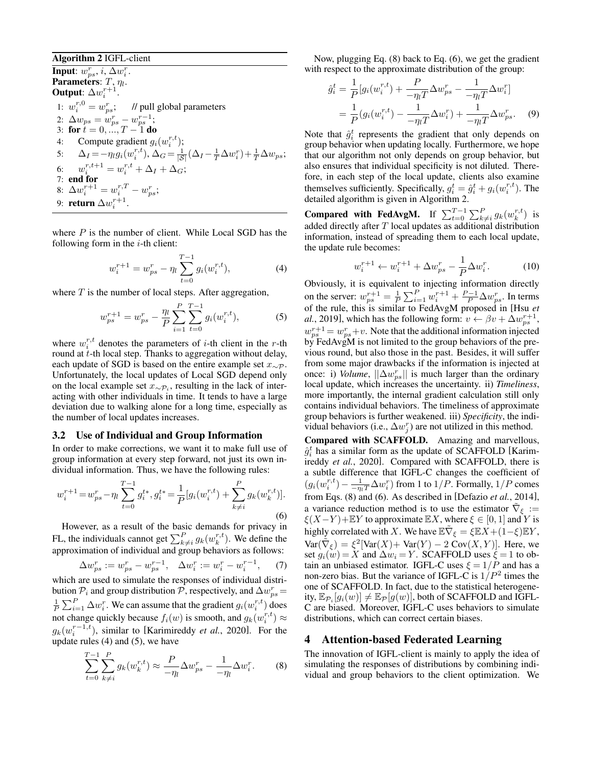#### Algorithm 2 IGFL-client

Input:  $w_{ps}^r$ ,  $i$ ,  $\Delta w_i^r$ . Parameters:  $T, \eta_l$ . Output:  $\Delta w_i^{r+1}$ . 1:  $w_i^{r,0} = w_{ps}^r$ ; // pull global parameters 2:  $\Delta w_{ps} = w_{ps}^r - w_{ps}^{r-1}$ ; 3: for  $t = 0, ..., T - 1$  do 4: Compute gradient  $g_i(w_i^{r,t})$ ; 5:  $\Delta_I = -\eta_l g_i(w_i^{r,t}), \Delta_G = \frac{1}{|S|} (\Delta_I - \frac{1}{T} \Delta w_i^r) + \frac{1}{T} \Delta w_{ps};$ 6:  $w_i^{r,t+1} = w_i^{r,t} + \Delta_I + \Delta_G;$ 7: end for 8:  $\Delta w_i^{r+1} = w_i^{r,T} - w_{ps}^r;$ 9: **return**  $\Delta w_i^{r+1}$ .

where  $P$  is the number of client. While Local SGD has the following form in the  $i$ -th client:

<span id="page-2-1"></span><span id="page-2-0"></span>
$$
w_i^{r+1} = w_{ps}^r - \eta_l \sum_{t=0}^{T-1} g_i(w_i^{r,t}), \tag{4}
$$

where  $T$  is the number of local steps. After aggregation,

$$
w_{ps}^{r+1} = w_{ps}^r - \frac{\eta_l}{P} \sum_{i=1}^P \sum_{t=0}^{T-1} g_i(w_i^{r,t}), \tag{5}
$$

where  $w_i^{r,t}$  denotes the parameters of *i*-th client in the *r*-th round at *t*-th local step. Thanks to aggregation without delay, each update of SGD is based on the entire example set  $x_{\sim \mathcal{P}}$ . Unfortunately, the local updates of Local SGD depend only on the local example set  $x_{\sim \mathcal{P}_i}$ , resulting in the lack of interacting with other individuals in time. It tends to have a large deviation due to walking alone for a long time, especially as the number of local updates increases.

### <span id="page-2-3"></span>3.2 Use of Individual and Group Information

In order to make corrections, we want it to make full use of group information at every step forward, not just its own individual information. Thus, we have the following rules:

$$
w_i^{r+1} = w_{ps}^r - \eta_l \sum_{t=0}^{T-1} g_i^{t*}, g_i^{t*} = \frac{1}{P} [g_i(w_i^{r,t}) + \sum_{k \neq i}^{P} g_k(w_k^{r,t})].
$$
\n(6)

However, as a result of the basic demands for privacy in FL, the individuals cannot get  $\sum_{k \neq i}^{P} g_k(w_k^{r,t})$ . We define the approximation of individual and group behaviors as follows:

$$
\Delta w_{ps}^r := w_{ps}^r - w_{ps}^{r-1}, \quad \Delta w_i^r := w_i^r - w_i^{r-1}, \tag{7}
$$

which are used to simulate the responses of individual distribution  $\mathcal{P}_i$  and group distribution  $\mathcal{P}$ , respectively, and  $\Delta w_{ps}^r =$  $\frac{1}{P} \sum_{i=1}^{P} \Delta w_i^r$ . We can assume that the gradient  $g_i(w_i^{r,t})$  does not change quickly because  $f_i(w)$  is smooth, and  $g_k(w_i^{r,t}) \approx$  $g_k(w_i^{r-1,t})$ , similar to [\[Karimireddy](#page-6-6) *et al.*, 2020]. For the update rules [\(4\)](#page-2-1) and [\(5\)](#page-2-2), we have

<span id="page-2-5"></span>
$$
\sum_{t=0}^{T-1} \sum_{k \neq i}^{P} g_k(w_k^{r,t}) \approx \frac{P}{-\eta_l} \Delta w_{ps}^r - \frac{1}{-\eta_l} \Delta w_i^r. \tag{8}
$$

Now, plugging Eq. [\(8\)](#page-2-5) back to Eq. [\(6\)](#page-2-6), we get the gradient with respect to the approximate distribution of the group:

$$
\hat{g}_i^t = \frac{1}{P} [g_i(w_i^{r,t}) + \frac{P}{-\eta_l T} \Delta w_{ps}^r - \frac{1}{-\eta_l T} \Delta w_i^r] \n= \frac{1}{P} (g_i(w_i^{r,t}) - \frac{1}{-\eta_l T} \Delta w_i^r) + \frac{1}{-\eta_l T} \Delta w_{ps}^r.
$$
\n(9)

Note that  $\hat{g}_i^t$  represents the gradient that only depends on group behavior when updating locally. Furthermore, we hope that our algorithm not only depends on group behavior, but also ensures that individual specificity is not diluted. Therefore, in each step of the local update, clients also examine themselves sufficiently. Specifically,  $g_i^t = \hat{g}_i^t + g_i(w_i^{r,t})$ . The detailed algorithm is given in Algorithm [2.](#page-2-0)

**Compared with FedAvgM.** If  $\sum_{t=0}^{T-1} \sum_{k \neq i}^{P} g_k(w_k^{r,t})$  is added directly after T local updates as additional distribution information, instead of spreading them to each local update, the update rule becomes:

$$
w_i^{r+1} \leftarrow w_i^{r+1} + \Delta w_{ps}^r - \frac{1}{P} \Delta w_i^r. \tag{10}
$$

<span id="page-2-2"></span>Obviously, it is equivalent to injecting information directly on the server:  $w_{ps}^{r+1} = \frac{1}{P} \sum_{i=1}^{P} w_i^{r+1} + \frac{P-1}{P} \Delta w_{ps}^r$ . In terms of the rule, this is similar to FedAvgM proposed in [\[Hsu](#page-6-10) *et al.*[, 2019\]](#page-6-10), which has the following form:  $v \leftarrow \beta v + \Delta w_{ps}^{r+1}$ ,  $w_{ps}^{r+1} = w_{ps}^{r} + v$ . Note that the additional information injected by FedAvgM is not limited to the group behaviors of the previous round, but also those in the past. Besides, it will suffer from some major drawbacks if the information is injected at once: i) *Volume*,  $||\Delta w_{ps}^r||$  is much larger than the ordinary local update, which increases the uncertainty. ii) *Timeliness*, more importantly, the internal gradient calculation still only contains individual behaviors. The timeliness of approximate group behaviors is further weakened. iii) *Specificity*, the individual behaviors (i.e.,  $\Delta w_j^r$ ) are not utilized in this method.

<span id="page-2-6"></span>Compared with SCAFFOLD. Amazing and marvellous,  $\hat{g}_i^t$  has a similar form as the update of SCAFFOLD [\[Karim](#page-6-6)ireddy *et al.*[, 2020\]](#page-6-6). Compared with SCAFFOLD, there is a subtle difference that IGFL-C changes the coefficient of  $(g_i(w_i^{r,t}) - \frac{1}{-\eta_i T} \Delta w_i^r)$  from 1 to  $1/P$ . Formally,  $1/P$  comes from Eqs. [\(8\)](#page-2-5) and [\(6\)](#page-2-6). As described in [\[Defazio](#page-6-17) *et al.*, 2014], a variance reduction method is to use the estimator  $\tilde{\nabla}_{\xi}$  :=  $\xi(X-Y)$  + EY to approximate EX, where  $\xi \in [0,1]$  and Y is highly correlated with X. We have  $\mathbb{E} \tilde{\nabla}_{\xi} = \xi \mathbb{E} X + (1 - \xi) \mathbb{E} Y$ ,  $Var(\tilde{\nabla}_{\xi}) = \xi^2[Var(X) + Var(Y) - 2 Cov(X, Y)].$  Here, we set  $g_i(w) = X$  and  $\Delta w_i = Y$ . SCAFFOLD uses  $\xi = 1$  to obtain an unbiased estimator. IGFL-C uses  $\xi = 1/P$  and has a non-zero bias. But the variance of IGFL-C is  $1/P^2$  times the one of SCAFFOLD. In fact, due to the statistical heterogeneity,  $\mathbb{E}_{\mathcal{P}_i}[g_i(w)] \neq \mathbb{E}_{\mathcal{P}}[g(w)]$ , both of SCAFFOLD and IGFL-C are biased. Moreover, IGFL-C uses behaviors to simulate distributions, which can correct certain biases.

# <span id="page-2-4"></span>4 Attention-based Federated Learning

The innovation of IGFL-client is mainly to apply the idea of simulating the responses of distributions by combining individual and group behaviors to the client optimization. We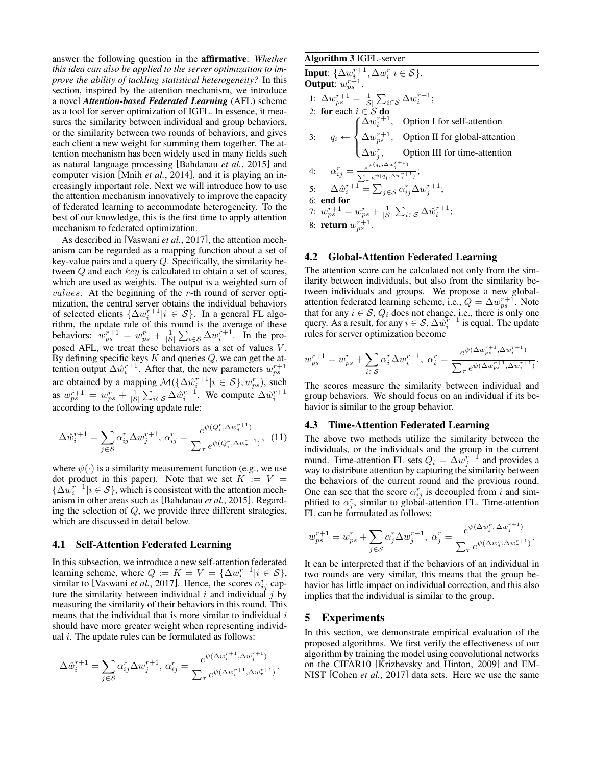answer the following question in the affirmative: *Whether this idea can also be applied to the server optimization to improve the ability of tackling statistical heterogeneity?* In this section, inspired by the attention mechanism, we introduce a novel *Attention-based Federated Learning* (AFL) scheme as a tool for server optimization of IGFL. In essence, it measures the similarity between individual and group behaviors, or the similarity between two rounds of behaviors, and gives each client a new weight for summing them together. The attention mechanism has been widely used in many fields such as natural language processing [\[Bahdanau](#page-6-12) *et al.*, 2015] and computer vision [Mnih *et al.*[, 2014\]](#page-6-18), and it is playing an increasingly important role. Next we will introduce how to use the attention mechanism innovatively to improve the capacity of federated learning to accommodate heterogeneity. To the best of our knowledge, this is the first time to apply attention mechanism to federated optimization.

As described in [\[Vaswani](#page-6-19) *et al.*, 2017], the attention mechanism can be regarded as a mapping function about a set of key-value pairs and a query Q. Specifically, the similarity between Q and each key is calculated to obtain a set of scores, which are used as weights. The output is a weighted sum of *values*. At the beginning of the  $r$ -th round of server optimization, the central server obtains the individual behaviors of selected clients  $\{\Delta w_i^{r+1} | i \in S\}$ . In a general FL algoof selected chems  $\{\Delta w_i \mid i \in \mathcal{O}_f\}$ . In a general FL algorithm, the update rule of this round is the average of these behaviors:  $w_{ps}^{r+1} = w_{ps}^r + \frac{1}{|S|} \sum_{i \in S} \Delta w_i^{r+1}$ . In the proposed AFL, we treat these behaviors as a set of values V. By defining specific keys  $K$  and queries  $Q$ , we can get the attention output  $\Delta \hat{w}_i^{r+1}$ . After that, the new parameters  $w_{ps}^{r+1}$ are obtained by a mapping  $\mathcal{M}(\{\Delta \hat{w}_{i}^{r+1} | i \in \mathcal{S}\}, w_{ps}^{r}),$  such as  $w_{ps}^{r+1} = w_{ps}^r + \frac{1}{|S|} \sum_{i \in S} \Delta \hat{w}_i^{r+1}$ . We compute  $\Delta \hat{w}_i^{r+1}$ according to the following update rule:

$$
\Delta \hat{w}_i^{r+1} = \sum_{j \in S} \alpha_{ij}^r \Delta w_j^{r+1}, \, \alpha_{ij}^r = \frac{e^{\psi(Q_i^r, \Delta w_j^{r+1})}}{\sum_{\tau} e^{\psi(Q_i^r, \Delta w_{\tau}^{r+1})}}, \tag{11}
$$

where  $\psi(\cdot)$  is a similarity measurement function (e.g., we use dot product in this paper). Note that we set  $K := V =$  $\{\Delta w_i^{r+1} | i \in S\}$ , which is consistent with the attention mechanism in other areas such as [\[Bahdanau](#page-6-12) *et al.*, 2015]. Regarding the selection of  $Q$ , we provide three different strategies, which are discussed in detail below.

#### 4.1 Self-Attention Federated Learning

In this subsection, we introduce a new self-attention federated learning scheme, where  $Q := K = V = {\Delta w_i^{r+1} | i \in S},$ similar to [\[Vaswani](#page-6-19) *et al.*, 2017]. Hence, the scores  $\alpha_{ij}^r$  capture the similarity between individual  $i$  and individual  $j$  by measuring the similarity of their behaviors in this round. This means that the individual that is more similar to individual  $i$ should have more greater weight when representing individual  $i$ . The update rules can be formulated as follows:

$$
\Delta \hat{w}_i^{r+1} = \sum_{j \in S} \alpha_{ij}^r \Delta w_j^{r+1}, \, \alpha_{ij}^r = \frac{e^{\psi(\Delta w_i^{r+1}, \Delta w_j^{r+1})}}{\sum_{\tau} e^{\psi(\Delta w_i^{r+1}, \Delta w_{\tau}^{r+1})}}.
$$

<span id="page-3-0"></span>**Algorithm 3** IGFL-server  
\n**Input:** 
$$
\{\Delta w_i^{r+1}, \Delta w_i^r | i \in S\}
$$
.  
\n**Output:**  $w_{ps}^{r+1} = \frac{1}{|S|} \sum_{i \in S} \Delta w_i^{r+1}$ ;  
\n1:  $\Delta w_{ps}^{r+1} = \frac{1}{|S|} \sum_{i \in S} \Delta w_i^{r+1}$ ;  
\n2: **for** each  $i \in S$  **do**  
\n $\Delta w_i^{r+1}$ , Option I for self-attention  
\n3:  $q_i \leftarrow \begin{cases} \Delta w_i^{r+1}, & \text{Option II for global-attention} \\ \Delta w_j^r, & \text{Option III for time-attention} \\ \Delta w_j^r, & \text{Option III for time-attention} \end{cases}$   
\n4:  $\alpha_{ij}^r = \frac{e^{\psi(q_i, \Delta w_j^{r+1})}}{\sum_{\tau} e^{\psi(q_i, \Delta w_{\tau}^{r+1})}}$ ;  
\n5:  $\Delta \hat{w}_i^{r+1} = \sum_{j \in S} \alpha_{ij}^r \Delta w_j^{r+1}$ ;  
\n6: **end for**  
\n7:  $w_{ps}^{r+1} = w_{ps}^r + \frac{1}{|S|} \sum_{i \in S} \Delta \hat{w}_i^{r+1}$ ;  
\n8: **return**  $w_{ps}^{r+1}$ .

#### 4.2 Global-Attention Federated Learning

The attention score can be calculated not only from the similarity between individuals, but also from the similarity between individuals and groups. We propose a new globalattention federated learning scheme, i.e.,  $Q = \Delta w_{ps}^{r+1}$ . Note that for any  $i \in \mathcal{S}$ ,  $Q_i$  does not change, i.e., there is only one query. As a result, for any  $i \in S$ ,  $\Delta w_i^{\tau+1}$  is equal. The update rules for server optimization become

$$
w_{ps}^{r+1} = w_{ps}^r + \sum_{i \in S} \alpha_i^r \Delta w_i^{r+1}, \ \alpha_i^r = \frac{e^{\psi(\Delta w_{ps}^{r+1}, \Delta w_i^{r+1})}}{\sum_{\tau} e^{\psi(\Delta w_{ps}^{r+1}, \Delta w_{\tau}^{r+1})}}.
$$

The scores measure the similarity between individual and group behaviors. We should focus on an individual if its behavior is similar to the group behavior.

#### 4.3 Time-Attention Federated Learning

The above two methods utilize the similarity between the individuals, or the individuals and the group in the current round. Time-attention FL sets  $Q_i = \Delta w_j^{r-1}$  and provides a way to distribute attention by capturing the similarity between the behaviors of the current round and the previous round. One can see that the score  $\alpha_{ij}^r$  is decoupled from i and simplified to  $\alpha_j^r$ , similar to global-attention FL. Time-attention FL can be formulated as follows:

$$
w_{ps}^{r+1} = w_{ps}^r + \sum_{j \in S} \alpha_j^r \Delta w_j^{r+1}, \ \alpha_j^r = \frac{e^{\psi(\Delta w_j^r, \Delta w_j^{r+1})}}{\sum_{\tau} e^{\psi(\Delta w_j^r, \Delta w_{\tau}^{r+1})}}.
$$

It can be interpreted that if the behaviors of an individual in two rounds are very similar, this means that the group behavior has little impact on individual correction, and this also implies that the individual is similar to the group.

#### 5 Experiments

In this section, we demonstrate empirical evaluation of the proposed algorithms. We first verify the effectiveness of our algorithm by training the model using convolutional networks on the CIFAR10 [\[Krizhevsky and Hinton, 2009\]](#page-6-20) and EM-NIST [\[Cohen](#page-6-21) *et al.*, 2017] data sets. Here we use the same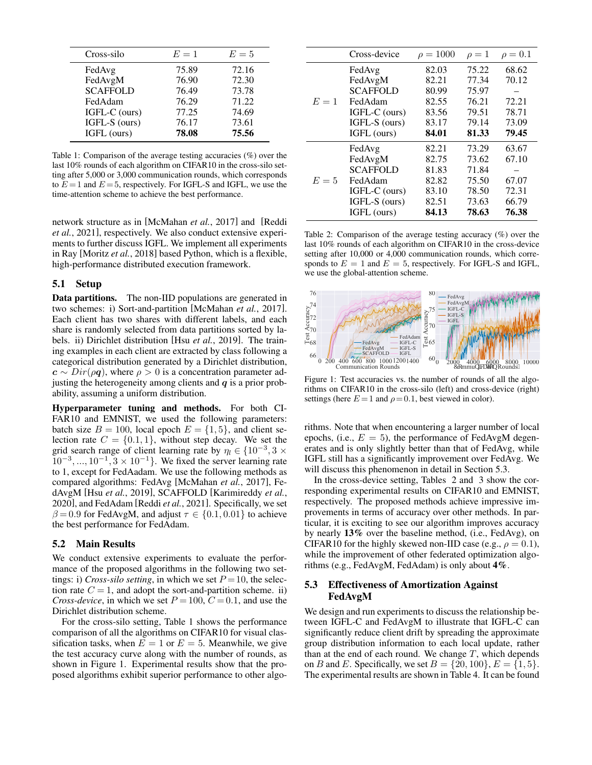<span id="page-4-0"></span>

| Cross-silo      | $E=1$ | $E=5$ |
|-----------------|-------|-------|
| FedAvg          | 75.89 | 72.16 |
| FedAvgM         | 76.90 | 72.30 |
| <b>SCAFFOLD</b> | 76.49 | 73.78 |
| FedAdam         | 76.29 | 71.22 |
| IGFL-C (ours)   | 77.25 | 74.69 |
| IGFL-S (ours)   | 76.17 | 73.61 |
| IGFL (ours)     | 78.08 | 75.56 |

Table 1: Comparison of the average testing accuracies (%) over the last 10% rounds of each algorithm on CIFAR10 in the cross-silo setting after 5,000 or 3,000 communication rounds, which corresponds to  $E = 1$  and  $E = 5$ , respectively. For IGFL-S and IGFL, we use the time-attention scheme to achieve the best performance.

network structure as in [\[McMahan](#page-6-0) *et al.*, 2017] and [\[Reddi](#page-6-5) *et al.*[, 2021\]](#page-6-5), respectively. We also conduct extensive experiments to further discuss IGFL. We implement all experiments in Ray [\[Moritz](#page-6-22) *et al.*, 2018] based Python, which is a flexible, high-performance distributed execution framework.

#### 5.1 Setup

Data partitions. The non-IID populations are generated in two schemes: i) Sort-and-partition [\[McMahan](#page-6-0) *et al.*, 2017]. Each client has two shares with different labels, and each share is randomly selected from data partitions sorted by labels. ii) Dirichlet distribution [Hsu *et al.*[, 2019\]](#page-6-10). The training examples in each client are extracted by class following a categorical distribution generated by a Dirichlet distribution,  $c \sim Dir(\rho q)$ , where  $\rho > 0$  is a concentration parameter adjusting the heterogeneity among clients and  $q$  is a prior probability, assuming a uniform distribution.

Hyperparameter tuning and methods. For both CI-FAR10 and EMNIST, we used the following parameters: batch size  $B = 100$ , local epoch  $E = \{1, 5\}$ , and client selection rate  $C = \{0.1, 1\}$ , without step decay. We set the grid search range of client learning rate by  $\eta_l \in \{10^{-3}, 3 \times$  $10^{-3}, ..., 10^{-1}, 3 \times 10^{-1}$ . We fixed the server learning rate to 1, except for FedAadam. We use the following methods as compared algorithms: FedAvg [\[McMahan](#page-6-0) *et al.*, 2017], FedAvgM [Hsu *et al.*[, 2019\]](#page-6-10), SCAFFOLD [\[Karimireddy](#page-6-6) *et al.*, [2020\]](#page-6-6), and FedAdam [Reddi *et al.*[, 2021\]](#page-6-5). Specifically, we set  $\beta = 0.9$  for FedAvgM, and adjust  $\tau \in \{0.1, 0.01\}$  to achieve the best performance for FedAdam.

### 5.2 Main Results

We conduct extensive experiments to evaluate the performance of the proposed algorithms in the following two settings: i) *Cross-silo setting*, in which we set  $P = 10$ , the selection rate  $C = 1$ , and adopt the sort-and-partition scheme. ii) *Cross-device*, in which we set  $P = 100$ ,  $C = 0.1$ , and use the Dirichlet distribution scheme.

For the cross-silo setting, Table [1](#page-4-0) shows the performance comparison of all the algorithms on CIFAR10 for visual classification tasks, when  $E = 1$  or  $E = 5$ . Meanwhile, we give the test accuracy curve along with the number of rounds, as shown in Figure [1.](#page-4-1) Experimental results show that the proposed algorithms exhibit superior performance to other algo-

<span id="page-4-3"></span>

|       | Cross-device    | $\rho = 1000$ | $\rho=1$ | $\rho = 0.1$ |
|-------|-----------------|---------------|----------|--------------|
|       | FedAvg          | 82.03         | 75.22    | 68.62        |
|       | FedAvgM         | 82.21         | 77.34    | 70.12        |
|       | <b>SCAFFOLD</b> | 80.99         | 75.97    |              |
| $E=1$ | FedAdam         | 82.55         | 76.21    | 72.21        |
|       | IGFL-C (ours)   | 83.56         | 79.51    | 78.71        |
|       | IGFL-S (ours)   | 83.17         | 79.14    | 73.09        |
|       | IGFL (ours)     | 84.01         | 81.33    | 79.45        |
| $E=5$ | FedAvg          | 82.21         | 73.29    | 63.67        |
|       | FedAvgM         | 82.75         | 73.62    | 67.10        |
|       | <b>SCAFFOLD</b> | 81.83         | 71.84    |              |
|       | FedAdam         | 82.82         | 75.50    | 67.07        |
|       | IGFL-C (ours)   | 83.10         | 78.50    | 72.31        |
|       | IGFL-S (ours)   | 82.51         | 73.63    | 66.79        |
|       | IGFL (ours)     | 84.13         | 78.63    | 76.38        |

Table 2: Comparison of the average testing accuracy (%) over the last 10% rounds of each algorithm on CIFAR10 in the cross-device setting after 10,000 or 4,000 communication rounds, which corresponds to  $E = 1$  and  $E = 5$ , respectively. For IGFL-S and IGFL, we use the global-attention scheme.

<span id="page-4-1"></span>

Figure 1: Test accuracies vs. the number of rounds of all the algorithms on CIFAR10 in the cross-silo (left) and cross-device (right) settings (here  $E = 1$  and  $\rho = 0.1$ , best viewed in color).

rithms. Note that when encountering a larger number of local epochs, (i.e.,  $E = 5$ ), the performance of FedAvgM degenerates and is only slightly better than that of FedAvg, while IGFL still has a significantly improvement over FedAvg. We will discuss this phenomenon in detail in Section [5.3.](#page-4-2)

In the cross-device setting, Tables [2](#page-4-3) and [3](#page-5-0) show the corresponding experimental results on CIFAR10 and EMNIST, respectively. The proposed methods achieve impressive improvements in terms of accuracy over other methods. In particular, it is exciting to see our algorithm improves accuracy by nearly 13% over the baseline method, (i.e., FedAvg), on CIFAR10 for the highly skewed non-IID case (e.g.,  $\rho = 0.1$ ), while the improvement of other federated optimization algorithms (e.g., FedAvgM, FedAdam) is only about 4%.

# <span id="page-4-2"></span>5.3 Effectiveness of Amortization Against FedAvgM

We design and run experiments to discuss the relationship between IGFL-C and FedAvgM to illustrate that IGFL-C can significantly reduce client drift by spreading the approximate group distribution information to each local update, rather than at the end of each round. We change  $T$ , which depends on B and E. Specifically, we set  $B = \{20, 100\}$ ,  $E = \{1, 5\}$ . The experimental results are shown in Table [4.](#page-5-1) It can be found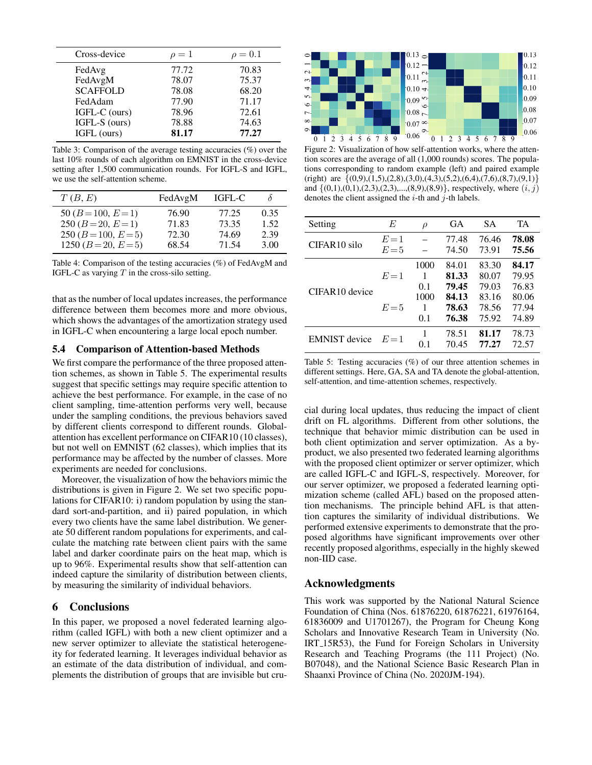<span id="page-5-0"></span>

| Cross-device    | $\rho=1$ | $\rho=0.1$ |
|-----------------|----------|------------|
| FedAvg          | 77.72    | 70.83      |
| FedAvgM         | 78.07    | 75.37      |
| <b>SCAFFOLD</b> | 78.08    | 68.20      |
| FedAdam         | 77.90    | 71.17      |
| IGFL-C (ours)   | 78.96    | 72.61      |
| IGFL-S (ours)   | 78.88    | 74.63      |
| IGFL (ours)     | 81.17    | 77.27      |
|                 |          |            |

Table 3: Comparison of the average testing accuracies (%) over the last 10% rounds of each algorithm on EMNIST in the cross-device setting after 1,500 communication rounds. For IGFL-S and IGFL, we use the self-attention scheme.

<span id="page-5-1"></span>

| T(B, E)                | FedAvgM | IGFL-C | δ    |
|------------------------|---------|--------|------|
| $50 (B = 100, E = 1)$  | 76.90   | 77.25  | 0.35 |
| $250 (B = 20, E = 1)$  | 71.83   | 73.35  | 1.52 |
| $250 (B = 100, E = 5)$ | 72.30   | 74.69  | 2.39 |
| $1250 (B = 20, E = 5)$ | 68.54   | 71.54  | 3.00 |

Table 4: Comparison of the testing accuracies (%) of FedAvgM and IGFL-C as varying  $T$  in the cross-silo setting.

that as the number of local updates increases, the performance difference between them becomes more and more obvious, which shows the advantages of the amortization strategy used in IGFL-C when encountering a large local epoch number.

#### 5.4 Comparison of Attention-based Methods

We first compare the performance of the three proposed attention schemes, as shown in Table [5.](#page-5-2) The experimental results suggest that specific settings may require specific attention to achieve the best performance. For example, in the case of no client sampling, time-attention performs very well, because under the sampling conditions, the previous behaviors saved by different clients correspond to different rounds. Globalattention has excellent performance on CIFAR10 (10 classes), but not well on EMNIST (62 classes), which implies that its performance may be affected by the number of classes. More experiments are needed for conclusions.

Moreover, the visualization of how the behaviors mimic the distributions is given in Figure [2.](#page-5-3) We set two specific populations for CIFAR10: i) random population by using the standard sort-and-partition, and ii) paired population, in which every two clients have the same label distribution. We generate 50 different random populations for experiments, and calculate the matching rate between client pairs with the same label and darker coordinate pairs on the heat map, which is up to 96%. Experimental results show that self-attention can indeed capture the similarity of distribution between clients, by measuring the similarity of individual behaviors.

# 6 Conclusions

In this paper, we proposed a novel federated learning algorithm (called IGFL) with both a new client optimizer and a new server optimizer to alleviate the statistical heterogeneity for federated learning. It leverages individual behavior as an estimate of the data distribution of individual, and complements the distribution of groups that are invisible but cru-

<span id="page-5-3"></span>

Figure 2: Visualization of how self-attention works, where the attention scores are the average of all (1,000 rounds) scores. The populations corresponding to random example (left) and paired example (right) are  $\{(0,9),(1,5),(2,8),(3,0),(4,3),(5,2),(6,4),(7,6),(8,7),(9,1)\}\$ and  $\{(0,1),(0,1),(2,3),(2,3),...,(8,9),(8,9)\}\)$ , respectively, where  $(i, j)$ denotes the client assigned the  $i$ -th and  $j$ -th labels.

<span id="page-5-2"></span>

| Setting                    | E                | $\rho$ | <b>GA</b>      | SА             | TA             |
|----------------------------|------------------|--------|----------------|----------------|----------------|
| CIFAR <sub>10</sub> silo   | $E=1$<br>$E = 5$ |        | 77.48<br>74.50 | 76.46<br>73.91 | 78.08<br>75.56 |
|                            |                  |        |                |                |                |
| CIFAR <sub>10</sub> device |                  | 1000   | 84.01          | 83.30          | 84.17          |
|                            | $E=1$            | 1      | 81.33          | 80.07          | 79.95          |
|                            |                  | 0.1    | 79.45          | 79.03          | 76.83          |
|                            | $E = 5$          | 1000   | 84.13          | 83.16          | 80.06          |
|                            |                  | 1      | 78.63          | 78.56          | 77.94          |
|                            |                  | 0.1    | 76.38          | 75.92          | 74.89          |
| <b>EMNIST</b> device       | $E=1$            | 1      | 78.51          | 81.17          | 78.73          |
|                            |                  | 0.1    | 70.45          | 77.27          | 72.57          |
|                            |                  |        |                |                |                |

Table 5: Testing accuracies  $(\%)$  of our three attention schemes in different settings. Here, GA, SA and TA denote the global-attention, self-attention, and time-attention schemes, respectively.

cial during local updates, thus reducing the impact of client drift on FL algorithms. Different from other solutions, the technique that behavior mimic distribution can be used in both client optimization and server optimization. As a byproduct, we also presented two federated learning algorithms with the proposed client optimizer or server optimizer, which are called IGFL-C and IGFL-S, respectively. Moreover, for our server optimizer, we proposed a federated learning optimization scheme (called AFL) based on the proposed attention mechanisms. The principle behind AFL is that attention captures the similarity of individual distributions. We performed extensive experiments to demonstrate that the proposed algorithms have significant improvements over other recently proposed algorithms, especially in the highly skewed non-IID case.

### Acknowledgments

This work was supported by the National Natural Science Foundation of China (Nos. 61876220, 61876221, 61976164, 61836009 and U1701267), the Program for Cheung Kong Scholars and Innovative Research Team in University (No. IRT 15R53), the Fund for Foreign Scholars in University Research and Teaching Programs (the 111 Project) (No. B07048), and the National Science Basic Research Plan in Shaanxi Province of China (No. 2020JM-194).